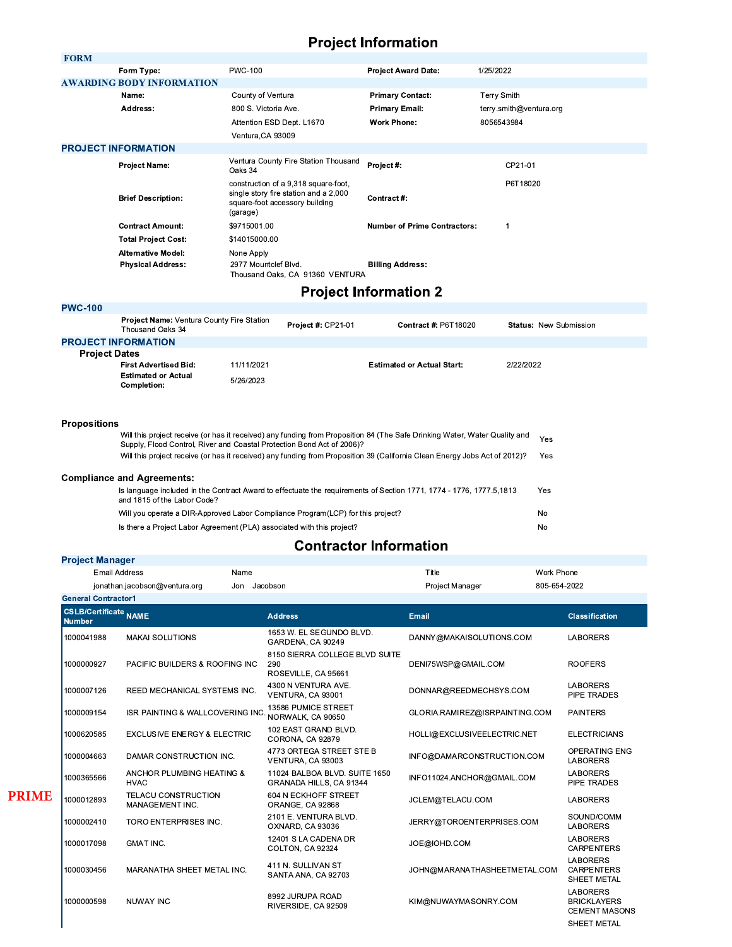### **Project Information**

| <b>FORM</b>               |                                  |                                                                                                                             |                                     |                         |
|---------------------------|----------------------------------|-----------------------------------------------------------------------------------------------------------------------------|-------------------------------------|-------------------------|
|                           | Form Type:                       | <b>PWC-100</b>                                                                                                              | <b>Project Award Date:</b>          | 1/25/2022               |
|                           | <b>AWARDING BODY INFORMATION</b> |                                                                                                                             |                                     |                         |
|                           | Name:                            | County of Ventura                                                                                                           | <b>Primary Contact:</b>             | <b>Terry Smith</b>      |
|                           | Address:                         | 800 S. Victoria Ave.                                                                                                        | Primary Email:                      | terry.smith@ventura.org |
|                           |                                  | Attention ESD Dept. L1670                                                                                                   | <b>Work Phone:</b>                  | 8056543984              |
|                           |                                  | Ventura, CA 93009                                                                                                           |                                     |                         |
|                           | <b>PROJECT INFORMATION</b>       |                                                                                                                             |                                     |                         |
|                           | <b>Project Name:</b>             | Ventura County Fire Station Thousand<br>Oaks 34                                                                             | Project#:                           | CP21-01                 |
| <b>Brief Description:</b> |                                  | construction of a 9,318 square-foot,<br>single story fire station and a 2,000<br>square-foot accessory building<br>(garage) | Contract #:                         | P6T18020                |
|                           | <b>Contract Amount:</b>          | \$9715001.00                                                                                                                | <b>Number of Prime Contractors:</b> | 1                       |
|                           | <b>Total Project Cost:</b>       | \$14015000.00                                                                                                               |                                     |                         |
|                           | <b>Alternative Model:</b>        | None Apply                                                                                                                  |                                     |                         |
|                           | <b>Physical Address:</b>         | 2977 Mountclef Blvd.<br>Thousand Oaks, CA 91360 VENTURA                                                                     | <b>Billing Address:</b>             |                         |
|                           |                                  | .                                                                                                                           |                                     |                         |

#### **Project Information 2**

| <b>PWC-100</b>       |                                                                      |            |                           |                                   |                               |  |
|----------------------|----------------------------------------------------------------------|------------|---------------------------|-----------------------------------|-------------------------------|--|
|                      | <b>Project Name: Ventura County Fire Station</b><br>Thousand Oaks 34 |            | <b>Project #: CP21-01</b> | <b>Contract #: P6T18020</b>       | <b>Status: New Submission</b> |  |
|                      | <b>PROJECT INFORMATION</b>                                           |            |                           |                                   |                               |  |
| <b>Project Dates</b> |                                                                      |            |                           |                                   |                               |  |
|                      | <b>First Advertised Bid:</b>                                         | 11/11/2021 |                           | <b>Estimated or Actual Start:</b> | 2/22/2022                     |  |
|                      | <b>Estimated or Actual</b><br><b>Completion:</b>                     | 5/26/2023  |                           |                                   |                               |  |
|                      |                                                                      |            |                           |                                   |                               |  |

## **Propositions**

| <b>Propositions</b> |                                                                                                                                                                                                      |     |  |  |
|---------------------|------------------------------------------------------------------------------------------------------------------------------------------------------------------------------------------------------|-----|--|--|
|                     | Will this project receive (or has it received) any funding from Proposition 84 (The Safe Drinking Water, Water Quality and<br>Supply, Flood Control, River and Coastal Protection Bond Act of 2006)? |     |  |  |
|                     | Will this project receive (or has it received) any funding from Proposition 39 (California Clean Energy Jobs Act of 2012)?                                                                           | Yes |  |  |
|                     | <b>Compliance and Agreements:</b>                                                                                                                                                                    |     |  |  |
|                     | Is language included in the Contract Award to effectuate the requirements of Section 1771, 1774 - 1776, 1777.5,1813<br>and 1815 of the Labor Code?                                                   | Yes |  |  |
|                     | Will you operate a DIR-Approved Labor Compliance Program(LCP) for this project?                                                                                                                      | No  |  |  |
|                     | Is there a Project Labor Agreement (PLA) associated with this project?                                                                                                                               | No  |  |  |

### **Contractor Information**

|  | <b>Project Manager</b> |  |
|--|------------------------|--|
|--|------------------------|--|

**PRIME** 

| <b>Email Address</b>                          |                                               | Name         |                                                              | Title                          | Work Phone                                                    |
|-----------------------------------------------|-----------------------------------------------|--------------|--------------------------------------------------------------|--------------------------------|---------------------------------------------------------------|
|                                               | jonathan.jacobson@ventura.org                 | Jon Jacobson |                                                              | Project Manager                | 805-654-2022                                                  |
| <b>General Contractor1</b>                    |                                               |              |                                                              |                                |                                                               |
| <b>CSLB/Certificate NAME</b><br><b>Number</b> |                                               |              | <b>Address</b>                                               | Email                          | <b>Classification</b>                                         |
| 1000041988                                    | <b>MAKAI SOLUTIONS</b>                        |              | 1653 W. EL SEGUNDO BLVD.<br>GARDENA, CA 90249                | DANNY@MAKAISOLUTIONS.COM       | <b>LABORERS</b>                                               |
| 1000000927                                    | PACIFIC BUILDERS & ROOFING INC.               |              | 8150 SIERRA COLLEGE BLVD SUITE<br>290<br>ROSEVILLE, CA 95661 | DENI75WSP@GMAIL.COM            | <b>ROOFERS</b>                                                |
| 1000007126                                    | REED MECHANICAL SYSTEMS INC.                  |              | 4300 N VENTURA AVE.<br>VENTURA, CA 93001                     | DONNAR@REEDMECHSYS.COM         | <b>LABORERS</b><br>PIPE TRADES                                |
| 1000009154                                    | ISR PAINTING & WALLCOVERING INC               |              | 13586 PUMICE STREET<br>NORWALK, CA 90650                     | GLORIA.RAMIREZ@ISRPAINTING.COM | <b>PAINTERS</b>                                               |
| 1000620585                                    | <b>EXCLUSIVE ENERGY &amp; ELECTRIC</b>        |              | 102 EAST GRAND BLVD.<br>CORONA, CA 92879                     | HOLLI@EXCLUSIVEELECTRIC.NET    | <b>ELECTRICIANS</b>                                           |
| 1000004663                                    | DAMAR CONSTRUCTION INC.                       |              | 4773 ORTEGA STREET STE B<br>VENTURA, CA 93003                | INFO@DAMARCONSTRUCTION.COM     | OPERATING ENG<br><b>LABORERS</b>                              |
| 1000365566                                    | ANCHOR PLUMBING HEATING &<br><b>HVAC</b>      |              | 11024 BALBOA BLVD, SUITE 1650<br>GRANADA HILLS, CA 91344     | INFO11024.ANCHOR@GMAIL.COM     | <b>LABORERS</b><br>PIPE TRADES                                |
| 1000012893                                    | <b>TELACU CONSTRUCTION</b><br>MANAGEMENT INC. |              | 604 N ECKHOFF STREET<br>ORANGE, CA 92868                     | JCLEM@TELACU.COM               | <b>LABORERS</b>                                               |
| 1000002410                                    | TORO ENTERPRISES INC.                         |              | 2101 E. VENTURA BLVD.<br>OXNARD, CA 93036                    | JERRY@TOROENTERPRISES.COM      | SOUND/COMM<br><b>LABORERS</b>                                 |
| 1000017098                                    | <b>GMAT INC.</b>                              |              | 12401 S LA CADENA DR<br>COLTON, CA 92324                     | JOE@IOHD.COM                   | <b>LABORERS</b><br><b>CARPENTERS</b>                          |
| 1000030456                                    | MARANATHA SHEET METAL INC.                    |              | 411 N. SULLIVAN ST<br>SANTA ANA, CA 92703                    | JOHN@MARANATHASHEETMETAL.COM   | <b>LABORERS</b><br><b>CARPENTERS</b><br>SHEET METAL           |
| 1000000598                                    | <b>NUWAY INC</b>                              |              | 8992 JURUPA ROAD<br>RIVERSIDE, CA 92509                      | KIM@NUWAYMASONRY.COM           | <b>LABORERS</b><br><b>BRICKLAYERS</b><br><b>CEMENT MASONS</b> |
|                                               |                                               |              |                                                              |                                | SHEET METAL                                                   |